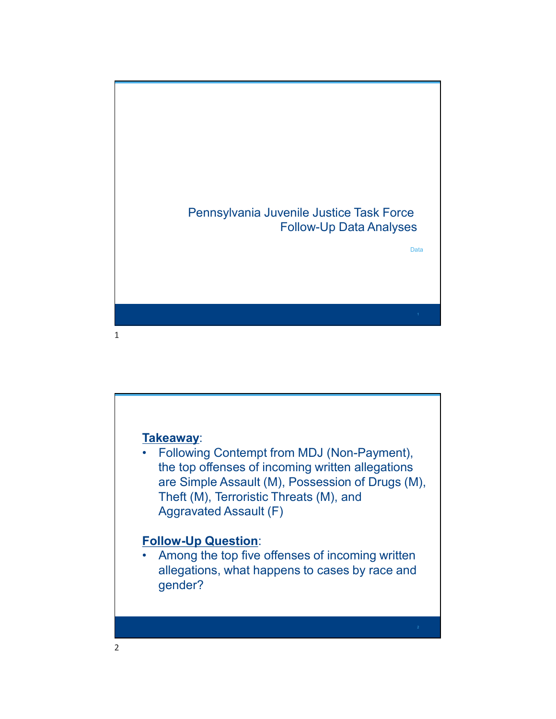

the top offenses of incoming written allegations are Simple Assault (M), Possession of Drugs (M), Theft (M), Terroristic Threats (M), and Aggravated Assault (F) Takeaway:<br>
• Following Contempt from MDJ (Non-Payment),<br>
the top offenses of incoming written allegations<br>
are Simple Assault (M), Possession of Drugs (M),<br>
Theft (M), Terroristic Threats (M), and<br>
Aggravated Assault (F)<br>

Follow-Up Question:<br>• Among the top five offenses of incoming written allegations, what happens to cases by race and gender?

 $2 \left( \frac{1}{2} \right)$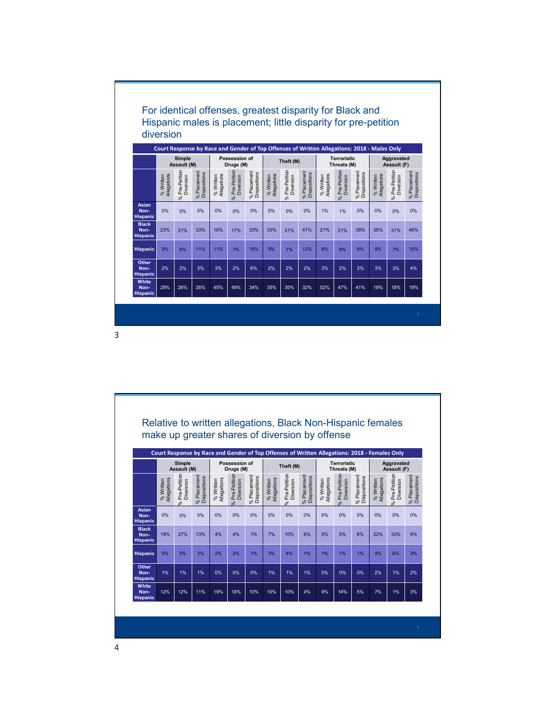

| <b>Hispanic</b><br>Other<br>Non-                            |                          | 21%                       | 33%                         | 16%                      | 17%                        | 33%                         | 33%                      | 31%                                                                                           | 41%                         | 21%                      | 21%                        | 38%                         | 35%                      | 31%                       | 46%                         |
|-------------------------------------------------------------|--------------------------|---------------------------|-----------------------------|--------------------------|----------------------------|-----------------------------|--------------------------|-----------------------------------------------------------------------------------------------|-----------------------------|--------------------------|----------------------------|-----------------------------|--------------------------|---------------------------|-----------------------------|
|                                                             | 9%                       | 6%                        | 11%                         | 11%                      | 7%                         | 15%                         | 9%                       | 7%                                                                                            | 13%                         | 8%                       | 9%                         | 8%                          | 9%                       | 7%                        | 15%                         |
|                                                             | 2%                       | 2%                        | 3%                          | 3%                       | 2%                         | 6%                          | 2%                       | 2%                                                                                            | 2%                          | 3%                       | 2%                         | 2%                          | 3%                       | 3%                        | 4%                          |
| <b>Hispanic</b><br>White<br>Non-                            | 29%                      | 26%                       | 26%                         | 45%                      | 49%                        | 34%                         | 35%                      | 35%                                                                                           | 32%                         | 52%                      | 47%                        | 41%                         | 18%                      | 18%                       | 19%                         |
| <b>Hispanic</b>                                             |                          |                           |                             |                          |                            |                             |                          |                                                                                               |                             |                          |                            |                             |                          |                           |                             |
|                                                             |                          |                           |                             |                          |                            |                             |                          |                                                                                               |                             |                          |                            |                             |                          |                           | $3\,$                       |
|                                                             |                          |                           |                             |                          |                            |                             |                          |                                                                                               |                             |                          |                            |                             |                          |                           |                             |
|                                                             |                          |                           |                             |                          |                            |                             |                          |                                                                                               |                             |                          |                            |                             |                          |                           |                             |
|                                                             |                          |                           |                             |                          |                            |                             |                          |                                                                                               |                             |                          |                            |                             |                          |                           |                             |
|                                                             |                          |                           |                             |                          |                            |                             |                          |                                                                                               |                             |                          |                            |                             |                          |                           |                             |
|                                                             |                          |                           |                             |                          |                            |                             |                          |                                                                                               |                             |                          |                            |                             |                          |                           |                             |
|                                                             |                          |                           |                             |                          |                            |                             |                          |                                                                                               |                             |                          |                            |                             |                          |                           |                             |
| Relative to written allegations, Black Non-Hispanic females |                          |                           |                             |                          |                            |                             |                          |                                                                                               |                             |                          |                            |                             |                          |                           |                             |
| make up greater shares of diversion by offense              |                          |                           |                             |                          |                            |                             |                          |                                                                                               |                             |                          |                            |                             |                          |                           |                             |
|                                                             |                          |                           |                             |                          |                            |                             |                          |                                                                                               |                             |                          |                            |                             |                          |                           |                             |
|                                                             |                          |                           |                             |                          |                            |                             |                          | Court Response by Race and Gender of Top Offenses of Written Allegations: 2018 - Females Only |                             |                          |                            |                             |                          |                           |                             |
|                                                             |                          | Simple<br>Assault (M)     |                             |                          | Possession of<br>Drugs (M) |                             |                          | Theft (M)                                                                                     |                             |                          | Terroristic<br>Threats (M) |                             |                          | Aggravated<br>Assault (F) |                             |
|                                                             |                          |                           |                             |                          |                            |                             |                          |                                                                                               |                             |                          |                            |                             |                          |                           |                             |
|                                                             | % Written<br>Allegations | Pre-Petition<br>Diversion | % Placement<br>Dispositions | % Written<br>Allegations | Pre-Petition<br>Diversion  | % Placement<br>Dispositions | % Written<br>Allegations | Pre-Petition<br>Diversion                                                                     | % Placement<br>Dispositions | % Written<br>Allegations | Pre-Petition<br>Diversion  | % Placement<br>Dispositions | % Written<br>Allegations | Pre-Petition<br>Diversion | % Placement<br>Dispositions |
| Asian<br>Non-                                               | $0\%$                    | $\sim$<br>$0\%$           | $0\%$                       | 0%                       | $0\%$                      | $0\%$                       | $0\%$                    | ℅<br>0%                                                                                       | $0\%$                       | 0%                       | -se<br>0%                  | 0%                          | $0\%$                    | -se<br>$0\%$              | 0%                          |
| <b>Hispanic</b><br><b>Black</b><br>Non-                     | 19%                      | 27%                       | 13%                         | 4%                       | 4%                         | 1%                          | 7%                       | 10%                                                                                           | 6%                          | 5%                       | 5%                         | 6%                          | 22%                      | 33%                       | 9%                          |
|                                                             |                          |                           |                             |                          |                            |                             |                          |                                                                                               |                             |                          |                            |                             |                          |                           |                             |
| <b>Hispanic</b>                                             | $5\%$                    | 5%                        | 3%                          | 2%                       | 2%                         | 1%                          | 3%                       | $4\%$                                                                                         | 1%                          | 1%                       | 1%                         | 1%                          | 4%                       | 6%                        | 3%                          |
| Hispanic                                                    |                          |                           |                             |                          |                            |                             |                          | 1%                                                                                            | 1%                          | 0%                       | 0%                         | 0%                          | 2%                       | 1%                        | 2%                          |
| Other<br>Non-<br><b>Hispanic</b>                            | 1%                       | 1%                        | 1%                          | 0%                       | 0%                         | 0%                          | 1%                       |                                                                                               |                             |                          |                            |                             |                          |                           |                             |
| White<br>Non-<br>Hispanic                                   | 12%                      | 12%                       | 11%                         | 19%                      | 18%                        | 10%                         | 10%                      | 10%                                                                                           | $4\%$                       | 9%                       | 14%                        | 5%                          | 7%                       | $1\%$                     | 3%                          |
|                                                             |                          |                           |                             |                          |                            |                             |                          |                                                                                               |                             |                          |                            |                             |                          |                           |                             |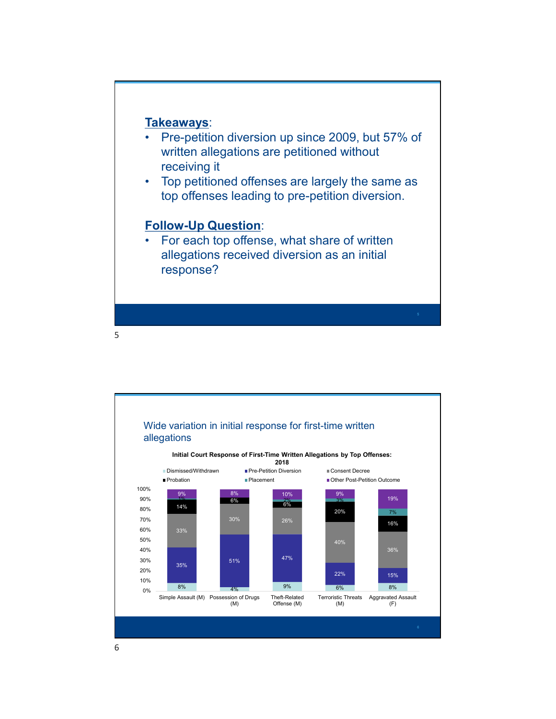

- **Takeaways:**<br>
 Pre-petition diversion up since 2009, but 57% of<br>
written allegations are petitioned without<br>
 Top petitioned offenses are largely the same as<br>
top offenses leading to pre-petition diversion written allegations are petitioned without receiving it **Takeaways:**<br>
• Pre-petition diversion up since 2009, but 57% of<br>
written allegations are petitioned without<br>
receiving it<br>
• Top petitioned offenses are largely the same as<br>
top offenses leading to pre-petition diversion. **Takeaways:**<br>• Pre-petition diversion up since 2009, but 57% of<br>written allegations are petitioned without<br>receiving it<br>• Top petitioned offenses are largely the same as<br>top offenses leading to pre-petition diversion.<br>Foll
- top offenses leading to pre-petition diversion.

## Follow-Up Question:

allegations received diversion as an initial response?

 $5 - 5$ 

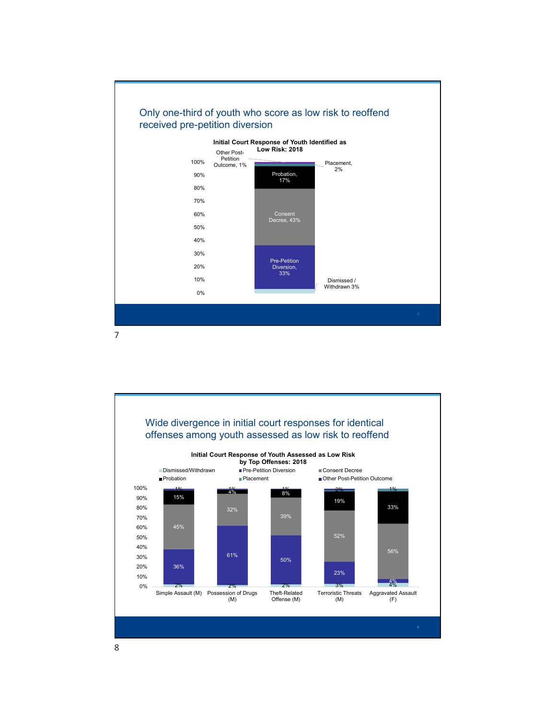

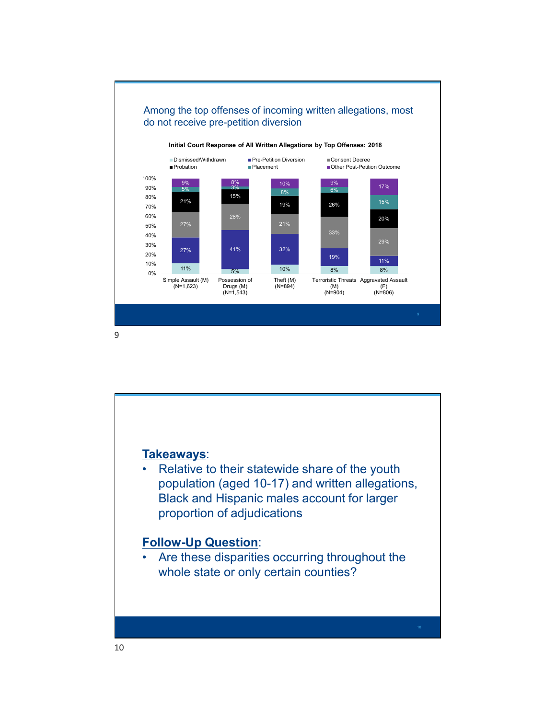

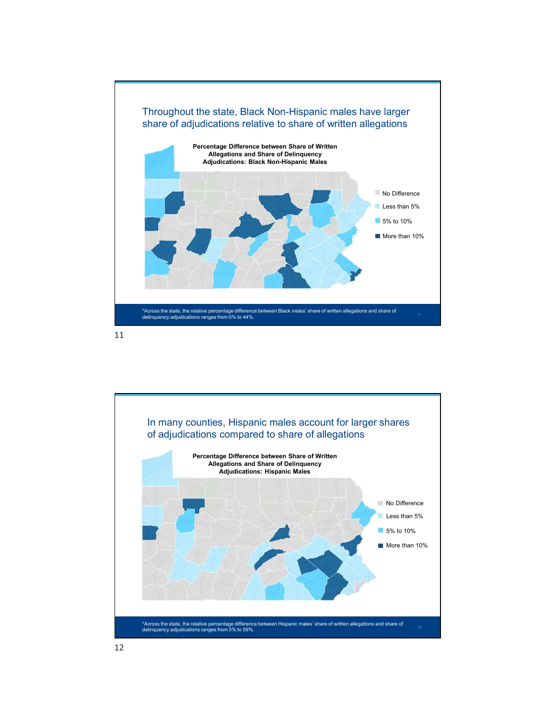

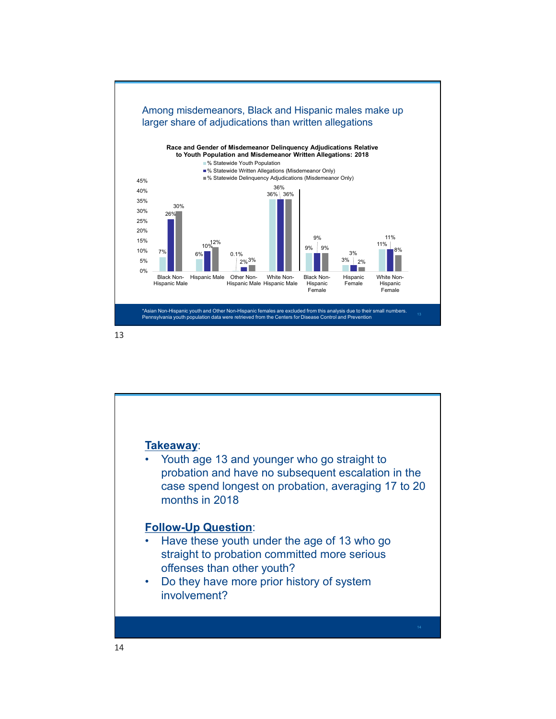

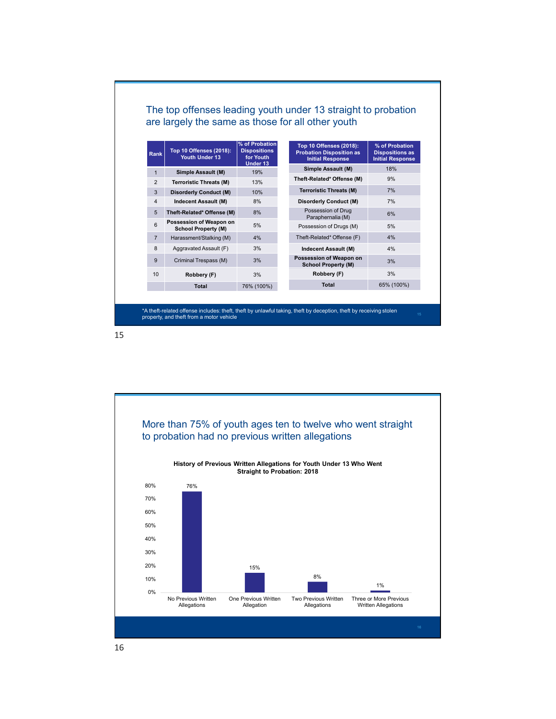| Rank           | Top 10 Offenses (2018):<br>Youth Under 13       | % of Probation<br><b>Dispositions</b><br>for Youth<br>Under 13 | Top 10 Offenses (2018):<br><b>Probation Disposition as</b><br><b>Initial Response</b> | % of Probation<br><b>Dispositions as</b><br><b>Initial Response</b> |
|----------------|-------------------------------------------------|----------------------------------------------------------------|---------------------------------------------------------------------------------------|---------------------------------------------------------------------|
|                |                                                 | 19%                                                            | Simple Assault (M)                                                                    | 18%                                                                 |
| $\mathbf{1}$   | Simple Assault (M)                              |                                                                |                                                                                       |                                                                     |
| $\overline{2}$ | <b>Terroristic Threats (M)</b>                  | 13%                                                            | Theft-Related* Offense (M)                                                            | 9%                                                                  |
| $\mathbf{3}$   | <b>Disorderly Conduct (M)</b>                   | 10%                                                            | <b>Terroristic Threats (M)</b>                                                        | 7%                                                                  |
| $\overline{4}$ | Indecent Assault (M)                            | 8%                                                             | <b>Disorderly Conduct (M)</b>                                                         | 7%                                                                  |
| 5              | Theft-Related* Offense (M)                      | 8%                                                             | Possession of Drug                                                                    | 6%                                                                  |
| 6              | Possession of Weapon on                         | 5%                                                             | Paraphernalia (M)<br>Possession of Drugs (M)                                          | 5%                                                                  |
|                | <b>School Property (M)</b>                      |                                                                |                                                                                       | 4%                                                                  |
| $\overline{7}$ | Harassment/Stalking (M)                         | 4%                                                             | Theft-Related* Offense (F)                                                            |                                                                     |
| 8<br>9         | Aggravated Assault (F)<br>Criminal Trespass (M) | 3%<br>3%                                                       | Indecent Assault (M)<br>Possession of Weapon on                                       | 4%<br>3%                                                            |
| 10             | Robbery (F)                                     | 3%                                                             | <b>School Property (M)</b><br>Robbery (F)                                             | 3%                                                                  |

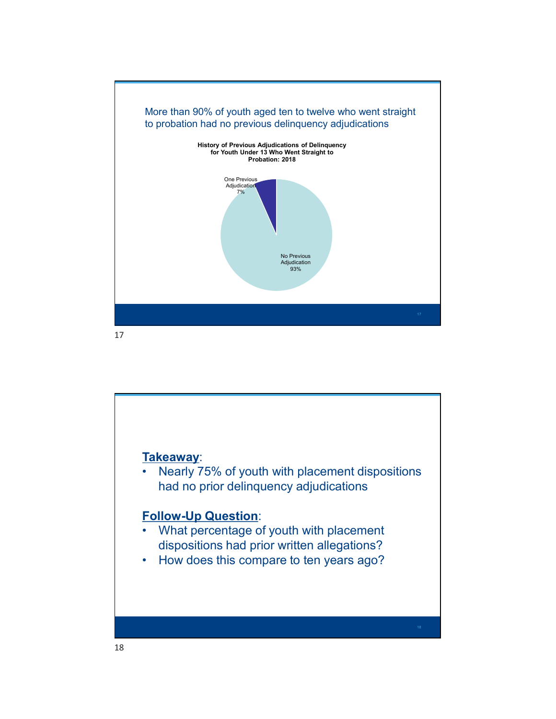

18 and the contract of the contract of the contract of the contract of the contract of the contract of the contract of the contract of the contract of the contract of the contract of the contract of the contract of the con Takeaway: <sup>Approxes</sup><br>
<sup>Approxes</sup><br>
• Nearly 75% of youth with placement dispositions<br>
had no prior delinquency adjudications<br>
Follow-Up Question:<br>
• What perceptage of youth with placement had no prior delinquency adjudications Follow-Up Question: **Takeaway:**<br>• Nearly 75% of youth with placement dispositions<br>had no prior delinquency adjudications<br>**Follow-Up Question:**<br>• What percentage of youth with placement<br>dispositions had prior written allegations?<br>• How does th dispositions had prior written allegations? Takeaway:<br>• Nearly 75% of youth with placement dispositions<br>had no prior delinquency adjudications<br>• What percentage of youth with placement<br>dispositions had prior written allegations?<br>• How does this compare to ten years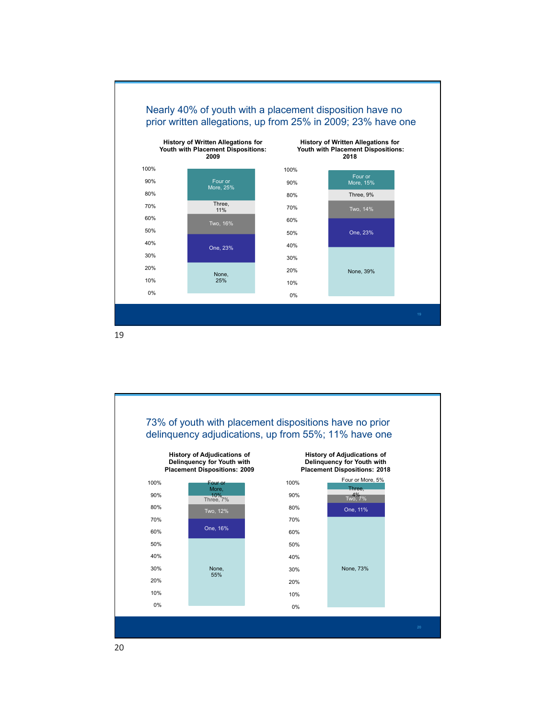

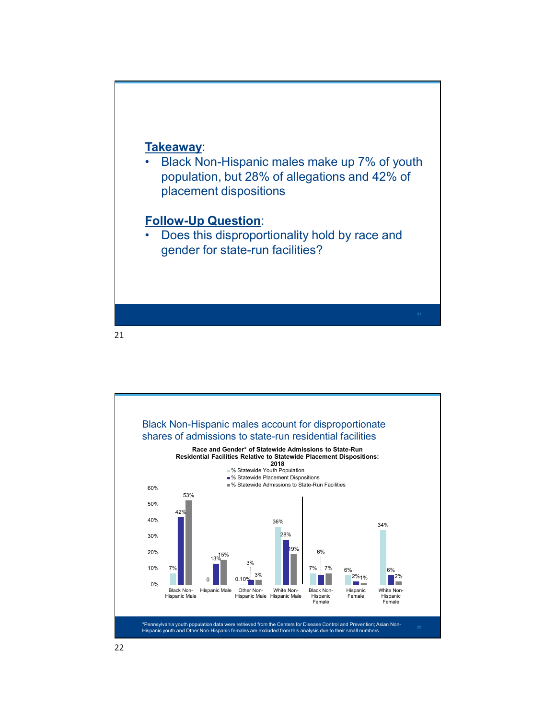Takeaway:<br>• Black Non-Hispanic males make up 7% of youth<br>population, but 28% of allegations and 42% of<br>placement dispositions<br>Follow-Un Question: population, but 28% of allegations and 42% of placement dispositions Takeaway:<br>• Black Non-Hispanic males make up 7% of youth<br>population, but 28% of allegations and 42% of<br>placement dispositions<br>Follow-Up Question:<br>• Does this disproportionality hold by race and<br>gender for state-run facilit

**Follow-Up Question:**<br>• Does this disproportionality hold by race and gender for state-run facilities?

21

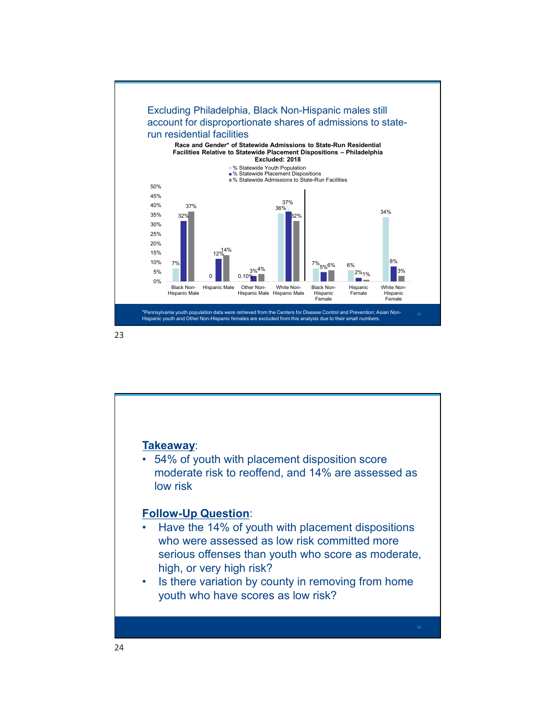

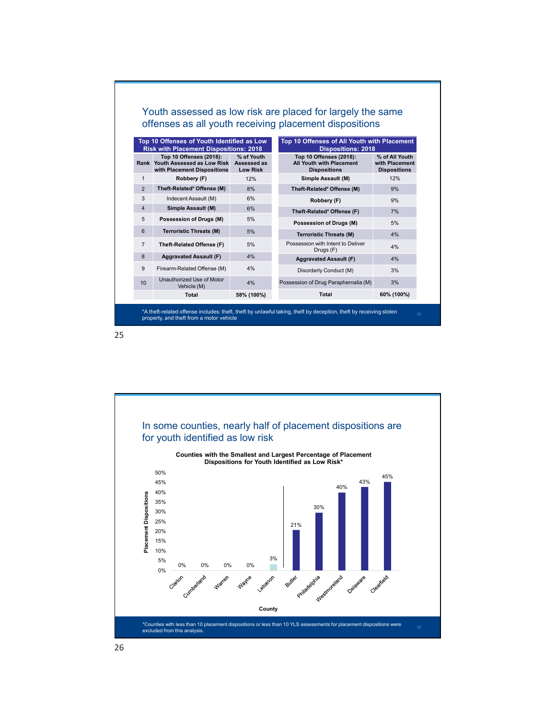|                |                                                          |                  | Youth assessed as low risk are placed for largely the same          |                     |
|----------------|----------------------------------------------------------|------------------|---------------------------------------------------------------------|---------------------|
|                |                                                          |                  | offenses as all youth receiving placement dispositions              |                     |
|                |                                                          |                  |                                                                     |                     |
|                | Top 10 Offenses of Youth Identified as Low               |                  | Top 10 Offenses of All Youth with Placement                         |                     |
|                | <b>Risk with Placement Dispositions: 2018</b>            |                  | <b>Dispositions: 2018</b>                                           |                     |
|                |                                                          | % of Youth       | Top 10 Offenses (2018):<br>All Youth with Placement                 | % of All Youth      |
|                | Top 10 Offenses (2018):                                  |                  |                                                                     |                     |
|                | Rank Youth Assessed as Low Risk                          | Assessed as      |                                                                     | with Placement      |
|                | with Placement Dispositions                              | <b>Low Risk</b>  | <b>Dispositions</b>                                                 | <b>Dispositions</b> |
| $\overline{1}$ | Robbery (F)                                              | 12%              | Simple Assault (M)                                                  | 12%                 |
| 2              | Theft-Related* Offense (M)                               | 8%               | Theft-Related* Offense (M)                                          | 9%                  |
| $\mathbf{3}$   | Indecent Assault (M)                                     | 6%               | Robbery (F)                                                         | 9%                  |
| $\overline{4}$ | Simple Assault (M)                                       | 6%               | Theft-Related* Offense (F)                                          | 7%                  |
| $\sqrt{5}$     | Possession of Drugs (M)                                  | 5%               |                                                                     |                     |
| $6\phantom{1}$ | <b>Terroristic Threats (M)</b>                           | 5%               | <b>Possession of Drugs (M)</b>                                      | 5%                  |
| $\overline{7}$ | Theft-Related Offense (F)                                | 5%               | <b>Terroristic Threats (M)</b><br>Possession with Intent to Deliver | 4%                  |
|                |                                                          |                  | Drugs (F)                                                           | 4%                  |
| 8              | <b>Aggravated Assault (F)</b>                            | 4%               | <b>Aggravated Assault (F)</b>                                       | 4%                  |
| $9\,$          | Firearm-Related Offense (M)<br>Unauthorized Use of Motor | 4%               | Disorderly Conduct (M)                                              | 3%                  |
| 10             | Vehicle (M)<br><b>Total</b>                              | 4%<br>58% (100%) | Possession of Drug Paraphernalia (M)<br><b>Total</b>                | 3%<br>60% (100%)    |

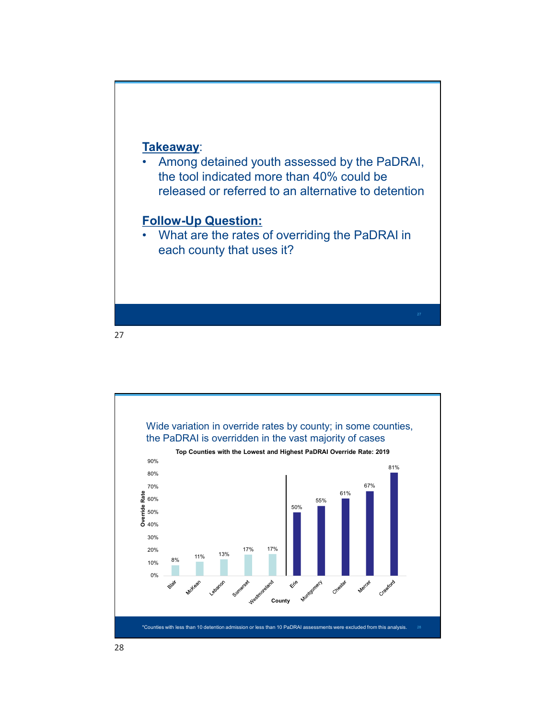Takeaway:<br>• Among detained youth assessed by the PaDRAI,<br>the tool indicated more than 40% could be<br>released or referred to an alternative to detention<br>Follow-Un Question: the tool indicated more than 40% could be released or referred to an alternative to detention Fakeaway:<br>• Among detained youth assessed by the PaDRAI,<br>the tool indicated more than 40% could be<br>released or referred to an alternative to detention<br>Follow-Up Question:<br>• What are the rates of overriding the PaDRAI in<br>ea

# Follow-Up Question:

each county that uses it?

27

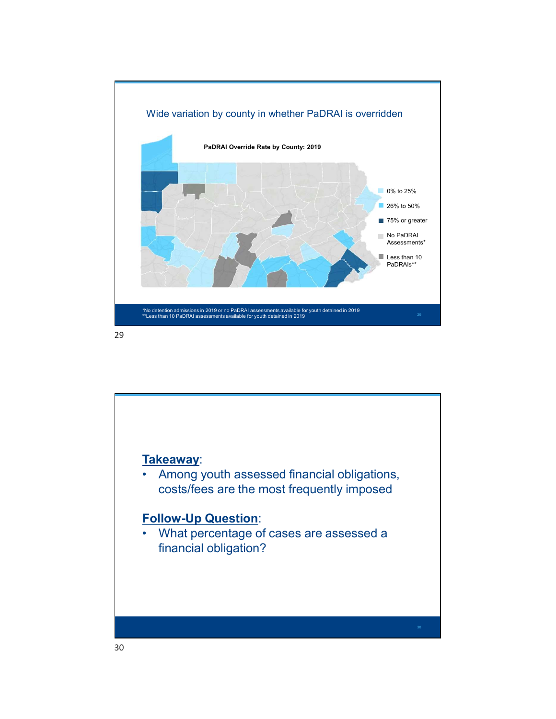

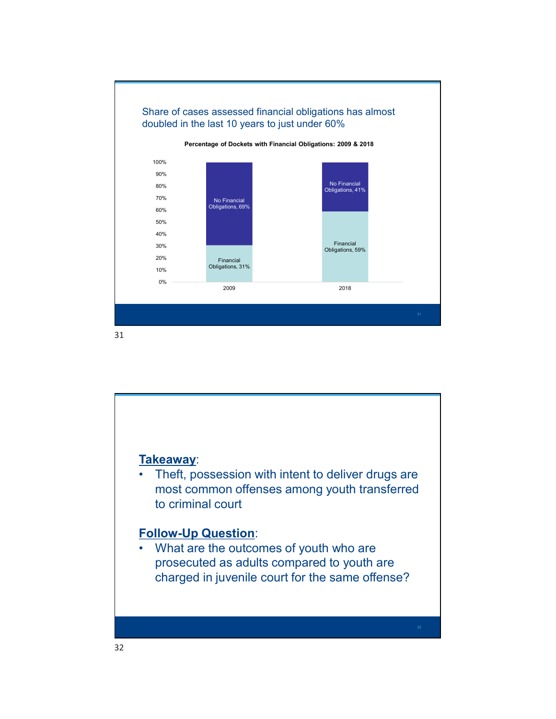

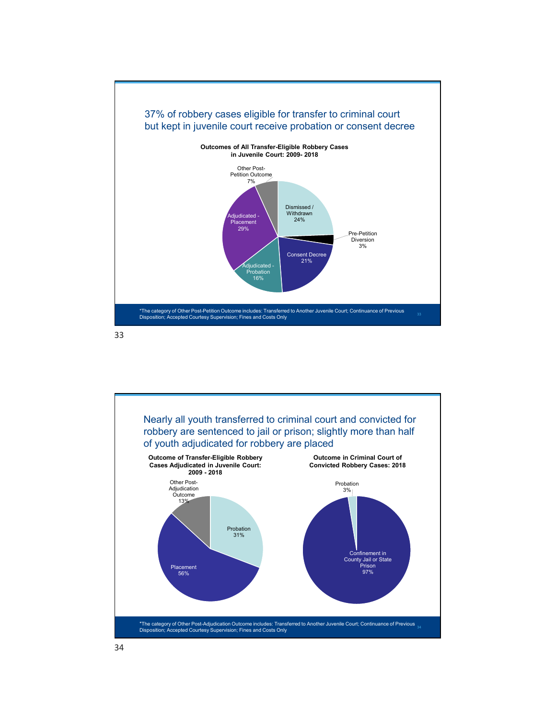

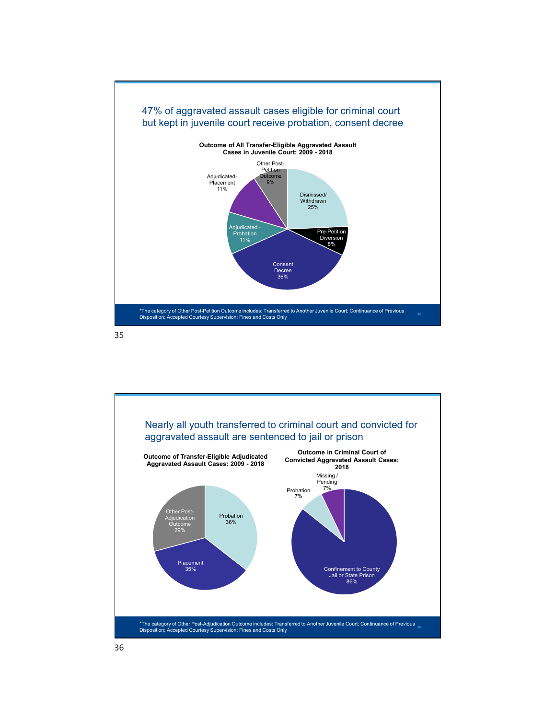

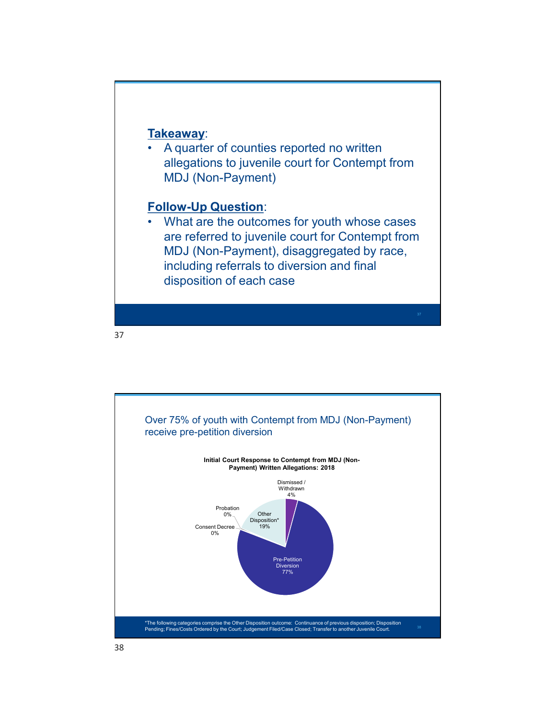Takeaway:<br>• A quarter of counties reported no written<br>allegations to juvenile court for Contempt from<br>MDJ (Non-Payment)<br>Follow-Up Question: allegations to juvenile court for Contempt from MDJ (Non-Payment)

# Follow-Up Question:

Fakeaway:<br>
• Aquarter of counties reported no written<br>
allegations to juvenile court for Contempt from<br>
MDJ (Non-Payment)<br>
• What are the outcomes for youth whose cases<br>
are referred to juvenile court for Contempt from<br>
MD are referred to juvenile court for Contempt from MDJ (Non-Payment), disaggregated by race, including referrals to diversion and final disposition of each case

37

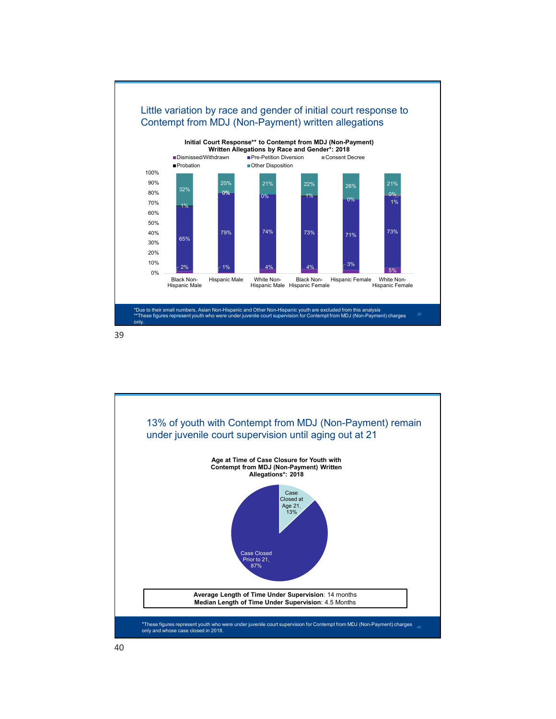

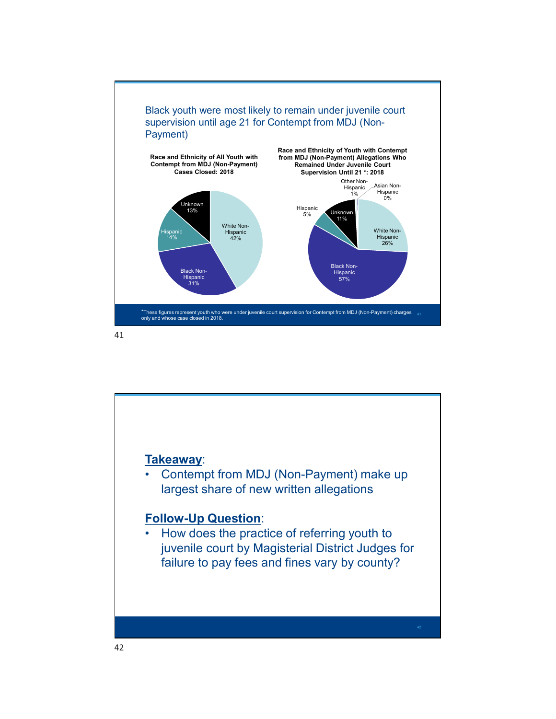

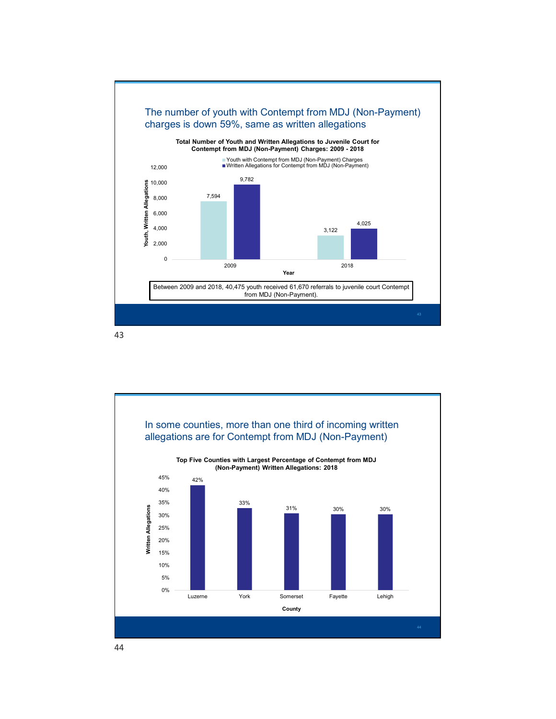

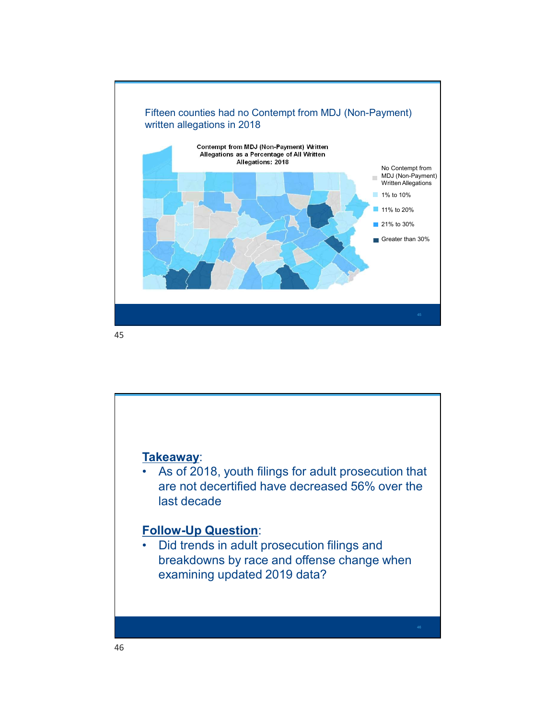

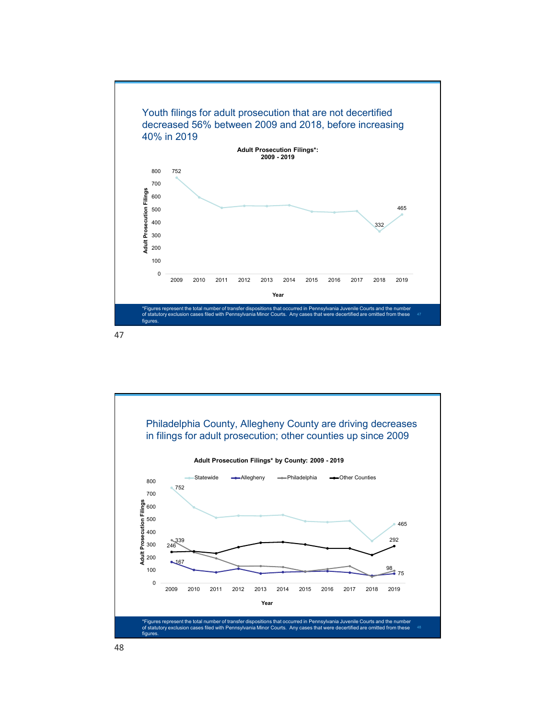

![](_page_23_Figure_2.jpeg)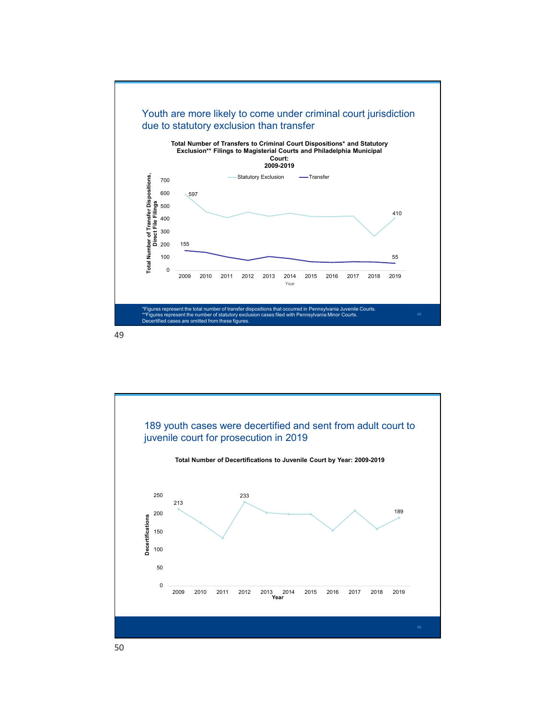![](_page_24_Figure_0.jpeg)

![](_page_24_Figure_2.jpeg)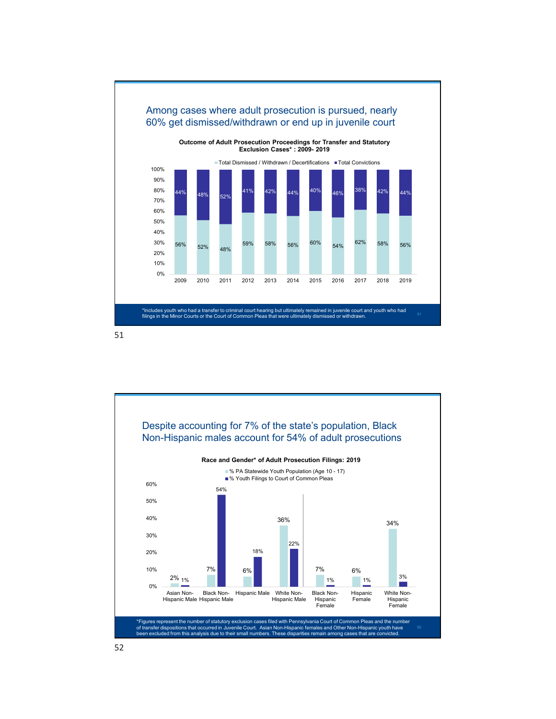![](_page_25_Figure_0.jpeg)

![](_page_25_Figure_2.jpeg)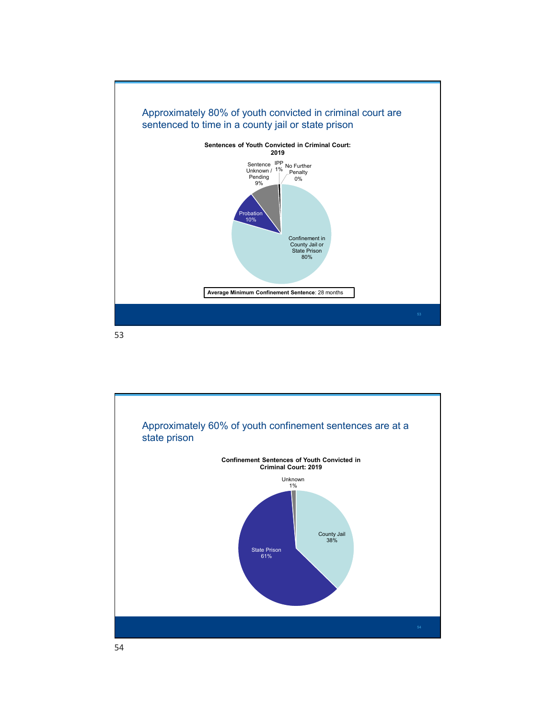![](_page_26_Figure_0.jpeg)

![](_page_26_Figure_2.jpeg)